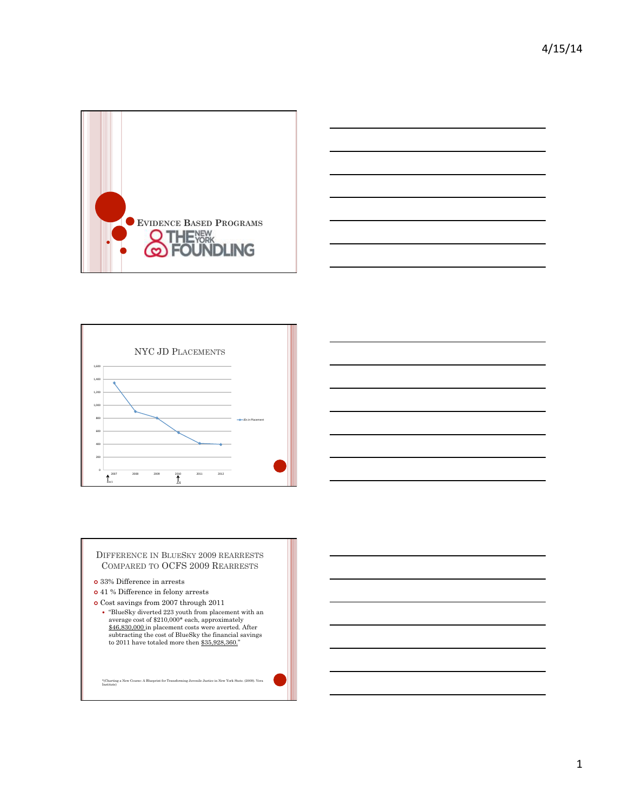







- ¢ 33% Difference in arrests
- ¢ 41 % Difference in felony arrests
- $\bullet$  Cost savings from 2007 through 2011
	- "BlueSky diverted 223 youth from placement with an average cost of \$210,000\* each, approximately  $$46,830,000$  in placement costs were averted. After subtracting the cost of BlueSky the financial savings to 2011 have to

\*(Charting a New Course: A Blueprint for Transforming Juvenile Justice in New York State. (2009). Vera Institute)